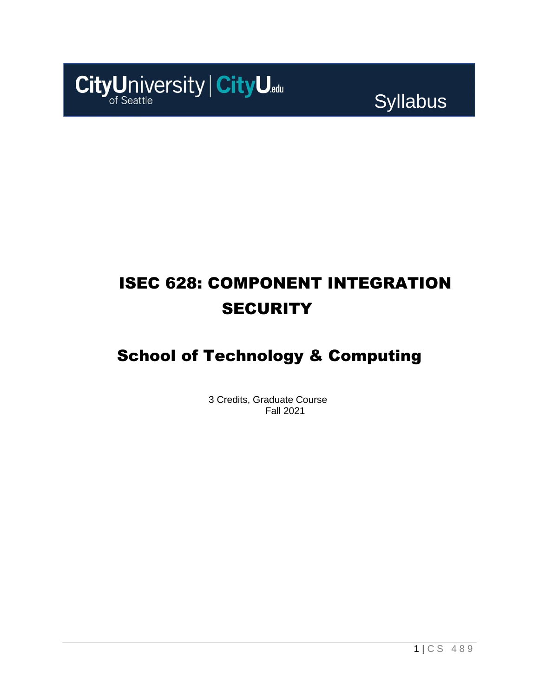

Syllabus

# ISEC 628: COMPONENT INTEGRATION **SECURITY**

## School of Technology & Computing

3 Credits, Graduate Course Fall 2021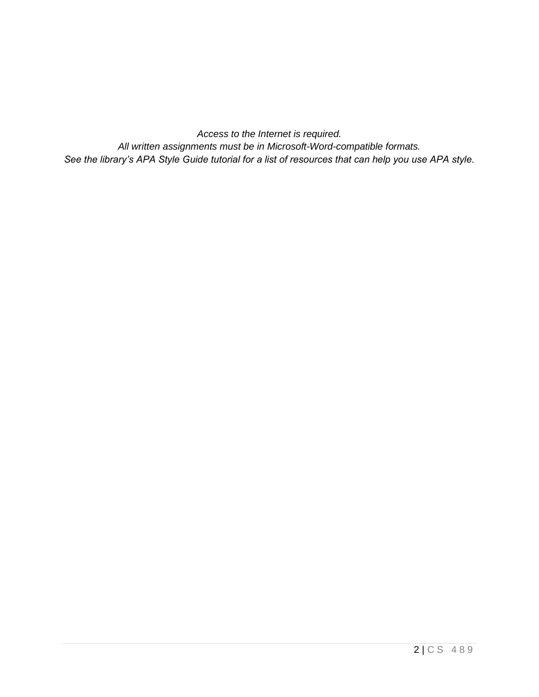*Access to the Internet is required. All written assignments must be in Microsoft-Word-compatible formats. See the library's APA Style Guide tutorial for a list of resources that can help you use APA style.*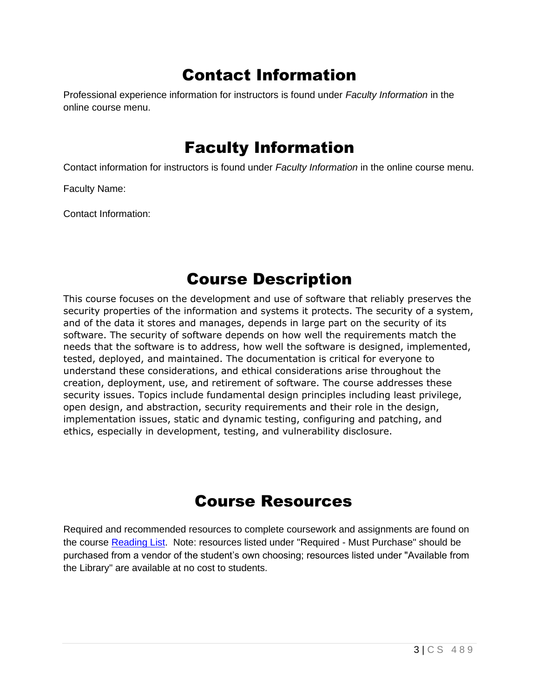## Contact Information

Professional experience information for instructors is found under *Faculty Information* in the online course menu.

## Faculty Information

Contact information for instructors is found under *Faculty Information* in the online course menu.

Faculty Name:

Contact Information:

## Course Description

This course focuses on the development and use of software that reliably preserves the security properties of the information and systems it protects. The security of a system, and of the data it stores and manages, depends in large part on the security of its software. The security of software depends on how well the requirements match the needs that the software is to address, how well the software is designed, implemented, tested, deployed, and maintained. The documentation is critical for everyone to understand these considerations, and ethical considerations arise throughout the creation, deployment, use, and retirement of software. The course addresses these security issues. Topics include fundamental design principles including least privilege, open design, and abstraction, security requirements and their role in the design, implementation issues, static and dynamic testing, configuring and patching, and ethics, especially in development, testing, and vulnerability disclosure.

## Course Resources

Required and recommended resources to complete coursework and assignments are found on the course [Reading List.](https://cityu.alma.exlibrisgroup.com/leganto/login?auth=SAML) Note: resources listed under "Required - Must Purchase" should be purchased from a vendor of the student's own choosing; resources listed under "Available from the Library" are available at no cost to students.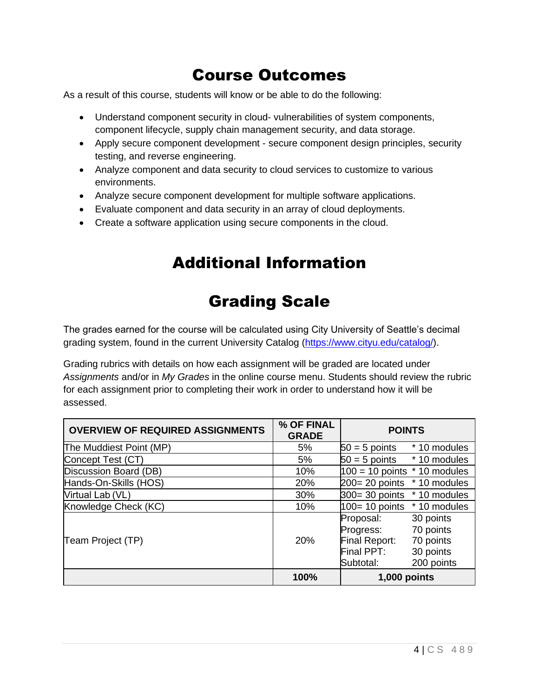## Course Outcomes

As a result of this course, students will know or be able to do the following:

- Understand component security in cloud- vulnerabilities of system components, component lifecycle, supply chain management security, and data storage.
- Apply secure component development secure component design principles, security testing, and reverse engineering.
- Analyze component and data security to cloud services to customize to various environments.
- Analyze secure component development for multiple software applications.
- Evaluate component and data security in an array of cloud deployments.
- Create a software application using secure components in the cloud.

## Additional Information

## Grading Scale

The grades earned for the course will be calculated using City University of Seattle's decimal grading system, found in the current University Catalog [\(https://www.cityu.edu/catalog/\)](https://www.cityu.edu/catalog/).

Grading rubrics with details on how each assignment will be graded are located under *Assignments* and/or in *My Grades* in the online course menu. Students should review the rubric for each assignment prior to completing their work in order to understand how it will be assessed.

| <b>OVERVIEW OF REQUIRED ASSIGNMENTS</b> | % OF FINAL<br><b>GRADE</b> | <b>POINTS</b>                                                                                             |  |
|-----------------------------------------|----------------------------|-----------------------------------------------------------------------------------------------------------|--|
| The Muddiest Point (MP)                 | 5%                         | * 10 modules<br>$50 = 5$ points                                                                           |  |
| Concept Test (CT)                       | 5%                         | $50 = 5$ points $*10$ modules                                                                             |  |
| Discussion Board (DB)                   | 10%                        | $100 = 10$ points $*$ 10 modules                                                                          |  |
| Hands-On-Skills (HOS)                   | 20%                        | 200= 20 points<br>* 10 modules                                                                            |  |
| Virtual Lab (VL)                        | 30%                        | $300 = 30$ points $*10$ modules                                                                           |  |
| Knowledge Check (KC)                    | 10%                        | $100 = 10$ points $*10$ modules                                                                           |  |
| Team Project (TP)                       | 20%                        | 30 points<br>Proposal:<br>70 points<br>Progress:<br>Final Report:<br>70 points<br>Final PPT:<br>30 points |  |
|                                         | 100%                       | 200 points<br>Subtotal:<br>1,000 points                                                                   |  |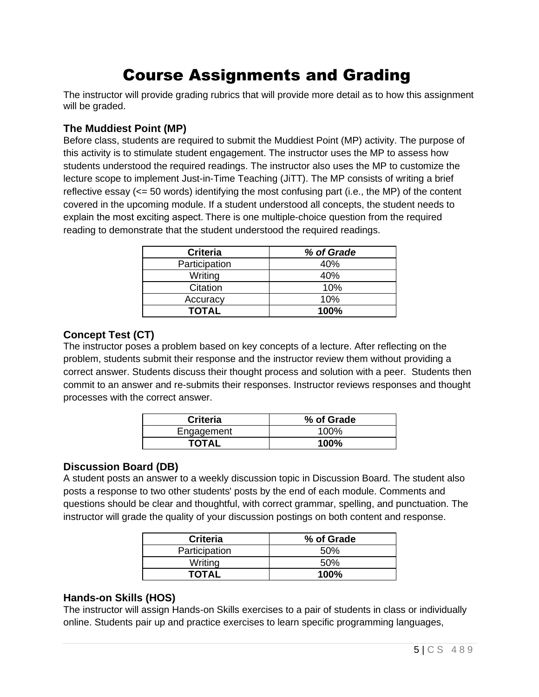## Course Assignments and Grading

The instructor will provide grading rubrics that will provide more detail as to how this assignment will be graded.

### **The Muddiest Point (MP)**

Before class, students are required to submit the Muddiest Point (MP) activity. The purpose of this activity is to stimulate student engagement. The instructor uses the MP to assess how students understood the required readings. The instructor also uses the MP to customize the lecture scope to implement Just-in-Time Teaching (JiTT). The MP consists of writing a brief reflective essay (<= 50 words) identifying the most confusing part (i.e., the MP) of the content covered in the upcoming module. If a student understood all concepts, the student needs to explain the most exciting aspect. There is one multiple-choice question from the required reading to demonstrate that the student understood the required readings.

| <b>Criteria</b> | % of Grade |
|-----------------|------------|
| Participation   | 40%        |
| Writing         | 40%        |
| Citation        | 10%        |
| Accuracy        | 10%        |
| TOTAL           | 100%       |

#### **Concept Test (CT)**

The instructor poses a problem based on key concepts of a lecture. After reflecting on the problem, students submit their response and the instructor review them without providing a correct answer. Students discuss their thought process and solution with a peer. Students then commit to an answer and re-submits their responses. Instructor reviews responses and thought processes with the correct answer.

| <b>Criteria</b> | % of Grade |
|-----------------|------------|
| Engagement      | 100%       |
| <b>TOTAL</b>    | 100%       |

### **Discussion Board (DB)**

A student posts an answer to a weekly discussion topic in Discussion Board. The student also posts a response to two other students' posts by the end of each module. Comments and questions should be clear and thoughtful, with correct grammar, spelling, and punctuation. The instructor will grade the quality of your discussion postings on both content and response.

| <b>Criteria</b> | % of Grade |
|-----------------|------------|
| Participation   | .50%       |
| Writing         | 50%        |
| TOTAL           | 100%       |

### **Hands-on Skills (HOS)**

The instructor will assign Hands-on Skills exercises to a pair of students in class or individually online. Students pair up and practice exercises to learn specific programming languages,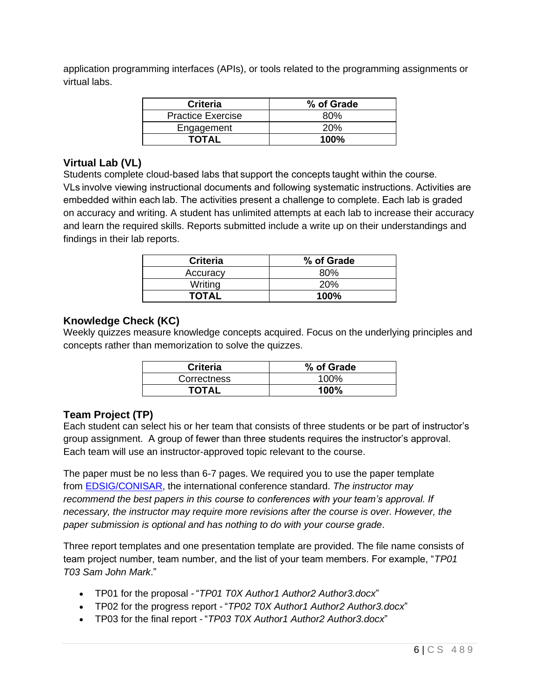application programming interfaces (APIs), or tools related to the programming assignments or virtual labs.

| <b>Criteria</b>          | % of Grade |
|--------------------------|------------|
| <b>Practice Exercise</b> | 80%        |
| Engagement               | 20%        |
| <b>TOTAL</b>             | 100%       |

## **Virtual Lab (VL)**

Students complete cloud-based labs that support the concepts taught within the course. VLs involve viewing instructional documents and following systematic instructions. Activities are embedded within each lab. The activities present a challenge to complete. Each lab is graded on accuracy and writing. A student has unlimited attempts at each lab to increase their accuracy and learn the required skills. Reports submitted include a write up on their understandings and findings in their lab reports.

| <b>Criteria</b> | % of Grade |
|-----------------|------------|
| Accuracy        | 80%        |
| Writing         | <b>20%</b> |
| <b>TOTAL</b>    | 100%       |

### **Knowledge Check (KC)**

Weekly quizzes measure knowledge concepts acquired. Focus on the underlying principles and concepts rather than memorization to solve the quizzes.

| <b>Criteria</b> | % of Grade |
|-----------------|------------|
| Correctness     | 100%       |
| <b>TOTAL</b>    | 100%       |

## **Team Project (TP)**

Each student can select his or her team that consists of three students or be part of instructor's group assignment. A group of fewer than three students requires the instructor's approval. Each team will use an instructor-approved topic relevant to the course.

The paper must be no less than 6-7 pages. We required you to use the paper template from [EDSIG/CONISAR,](http://www.aitp-edsig.org/) the international conference standard. *The instructor may recommend the best papers in this course to conferences with your team's approval. If necessary, the instructor may require more revisions after the course is over. However, the paper submission is optional and has nothing to do with your course grade*.

Three report templates and one presentation template are provided. The file name consists of team project number, team number, and the list of your team members. For example, "*TP01 T03 Sam John Mark*."

- TP01 for the proposal "*TP01 T0X Author1 Author2 Author3.docx*"
- TP02 for the progress report "*TP02 T0X Author1 Author2 Author3.docx*"
- TP03 for the final report "*TP03 T0X Author1 Author2 Author3.docx*"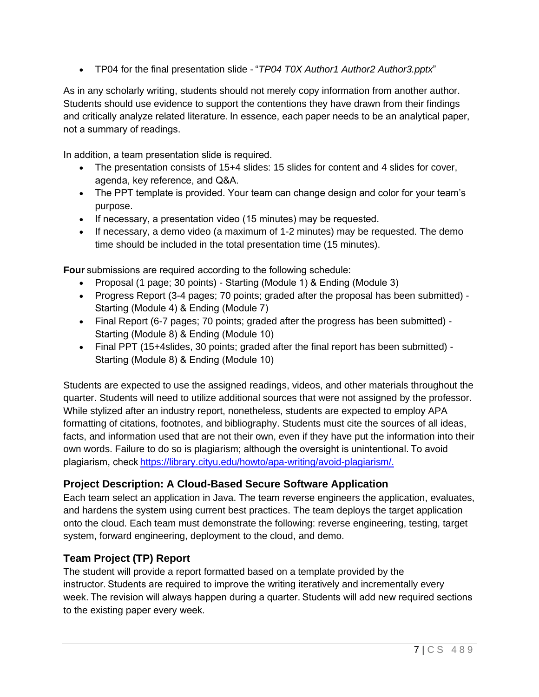• TP04 for the final presentation slide - "*TP04 T0X Author1 Author2 Author3.pptx*" 

As in any scholarly writing, students should not merely copy information from another author. Students should use evidence to support the contentions they have drawn from their findings and critically analyze related literature. In essence, each paper needs to be an analytical paper, not a summary of readings. 

In addition, a team presentation slide is required.  

- The presentation consists of 15+4 slides: 15 slides for content and 4 slides for cover, agenda, key reference, and Q&A.
- The PPT template is provided. Your team can change design and color for your team's purpose.
- If necessary, a presentation video (15 minutes) may be requested.
- If necessary, a demo video (a maximum of 1-2 minutes) may be requested. The demo time should be included in the total presentation time (15 minutes).

**Four** submissions are required according to the following schedule: 

- Proposal (1 page; 30 points) Starting (Module 1) & Ending (Module 3)
- Progress Report (3-4 pages; 70 points; graded after the proposal has been submitted) Starting (Module 4) & Ending (Module 7)
- Final Report (6-7 pages; 70 points; graded after the progress has been submitted) Starting (Module 8) & Ending (Module 10)
- Final PPT (15+4slides, 30 points; graded after the final report has been submitted) Starting (Module 8) & Ending (Module 10)

Students are expected to use the assigned readings, videos, and other materials throughout the quarter. Students will need to utilize additional sources that were not assigned by the professor. While stylized after an industry report, nonetheless, students are expected to employ APA formatting of citations, footnotes, and bibliography. Students must cite the sources of all ideas, facts, and information used that are not their own, even if they have put the information into their own words. Failure to do so is plagiarism; although the oversight is unintentional. To avoid plagiarism, chec[k https://library.cityu.edu/howto/apa-writing/avoid-plagiarism/.](https://library.cityu.edu/howto/apa-writing/avoid-plagiarism/)

## **Project Description: A Cloud-Based Secure Software Application**

Each team select an application in Java. The team reverse engineers the application, evaluates, and hardens the system using current best practices. The team deploys the target application onto the cloud. Each team must demonstrate the following: reverse engineering, testing, target system, forward engineering, deployment to the cloud, and demo.

## **Team Project (TP) Report**

The student will provide a report formatted based on a template provided by the instructor. Students are required to improve the writing iteratively and incrementally every week. The revision will always happen during a quarter. Students will add new required sections to the existing paper every week.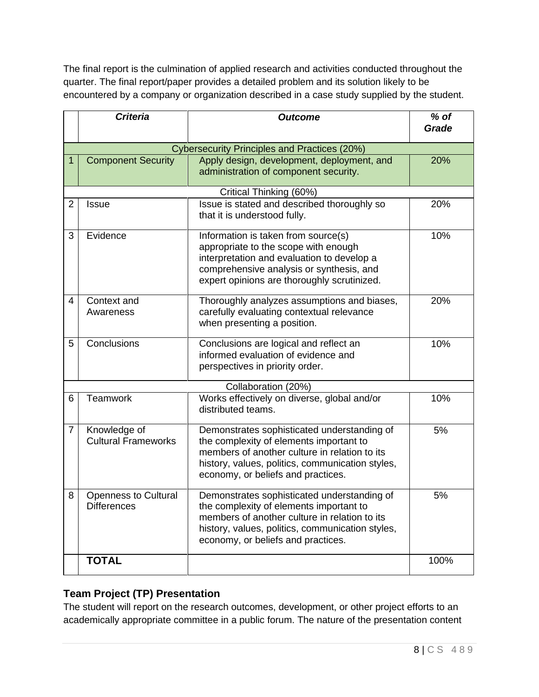The final report is the culmination of applied research and activities conducted throughout the quarter. The final report/paper provides a detailed problem and its solution likely to be encountered by a company or organization described in a case study supplied by the student.

|   | <b>Criteria</b>                                   | <b>Outcome</b>                                                                                                                                                                                                                    | $%$ of<br>Grade |  |  |
|---|---------------------------------------------------|-----------------------------------------------------------------------------------------------------------------------------------------------------------------------------------------------------------------------------------|-----------------|--|--|
|   |                                                   |                                                                                                                                                                                                                                   |                 |  |  |
|   | Cybersecurity Principles and Practices (20%)      |                                                                                                                                                                                                                                   |                 |  |  |
| 1 | <b>Component Security</b>                         | Apply design, development, deployment, and<br>administration of component security.                                                                                                                                               | 20%             |  |  |
|   |                                                   | Critical Thinking (60%)                                                                                                                                                                                                           |                 |  |  |
| 2 | <b>Issue</b>                                      | Issue is stated and described thoroughly so<br>that it is understood fully.                                                                                                                                                       | 20%             |  |  |
| 3 | Evidence                                          | Information is taken from source(s)<br>appropriate to the scope with enough<br>interpretation and evaluation to develop a<br>comprehensive analysis or synthesis, and<br>expert opinions are thoroughly scrutinized.              | 10%             |  |  |
| 4 | Context and<br>Awareness                          | Thoroughly analyzes assumptions and biases,<br>carefully evaluating contextual relevance<br>when presenting a position.                                                                                                           | 20%             |  |  |
| 5 | Conclusions                                       | Conclusions are logical and reflect an<br>informed evaluation of evidence and<br>perspectives in priority order.                                                                                                                  | 10%             |  |  |
|   | Collaboration (20%)                               |                                                                                                                                                                                                                                   |                 |  |  |
| 6 | <b>Teamwork</b>                                   | Works effectively on diverse, global and/or<br>distributed teams.                                                                                                                                                                 | 10%             |  |  |
| 7 | Knowledge of<br><b>Cultural Frameworks</b>        | Demonstrates sophisticated understanding of<br>the complexity of elements important to<br>members of another culture in relation to its<br>history, values, politics, communication styles,<br>economy, or beliefs and practices. | 5%              |  |  |
| 8 | <b>Openness to Cultural</b><br><b>Differences</b> | Demonstrates sophisticated understanding of<br>the complexity of elements important to<br>members of another culture in relation to its<br>history, values, politics, communication styles,<br>economy, or beliefs and practices. | 5%              |  |  |
|   | <b>TOTAL</b>                                      |                                                                                                                                                                                                                                   | 100%            |  |  |

## **Team Project (TP) Presentation**

The student will report on the research outcomes, development, or other project efforts to an academically appropriate committee in a public forum. The nature of the presentation content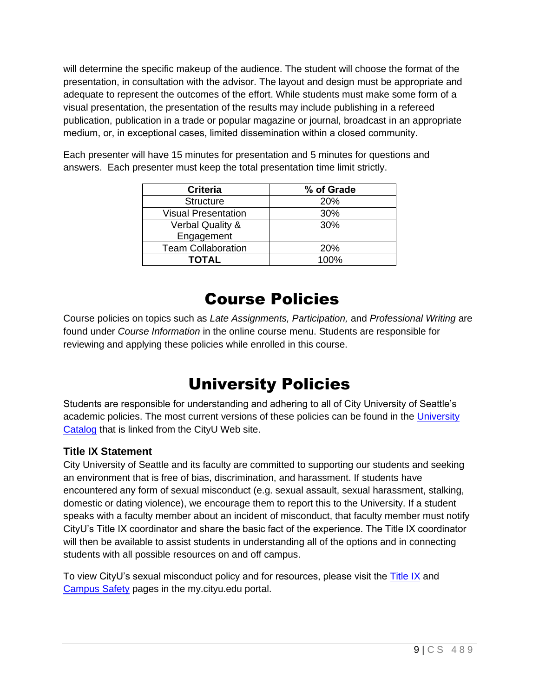will determine the specific makeup of the audience. The student will choose the format of the presentation, in consultation with the advisor. The layout and design must be appropriate and adequate to represent the outcomes of the effort. While students must make some form of a visual presentation, the presentation of the results may include publishing in a refereed publication, publication in a trade or popular magazine or journal, broadcast in an appropriate medium, or, in exceptional cases, limited dissemination within a closed community. 

| <b>Criteria</b>             | % of Grade |
|-----------------------------|------------|
| <b>Structure</b>            | <b>20%</b> |
| <b>Visual Presentation</b>  | 30%        |
| <b>Verbal Quality &amp;</b> | 30%        |
| Engagement                  |            |
| <b>Team Collaboration</b>   | <b>20%</b> |
| <b>TOTAL</b>                | $100\%$    |

Each presenter will have 15 minutes for presentation and 5 minutes for questions and answers. Each presenter must keep the total presentation time limit strictly.

## Course Policies

Course policies on topics such as *Late Assignments, Participation,* and *Professional Writing* are found under *Course Information* in the online course menu. Students are responsible for reviewing and applying these policies while enrolled in this course.

## University Policies

Students are responsible for understanding and adhering to all of City University of Seattle's academic policies. The most current versions of these policies can be found in the University [Catalog](http://www.cityu.edu/catalog/) that is linked from the CityU Web site.

## **Title IX Statement**

City University of Seattle and its faculty are committed to supporting our students and seeking an environment that is free of bias, discrimination, and harassment. If students have encountered any form of sexual misconduct (e.g. sexual assault, sexual harassment, stalking, domestic or dating violence), we encourage them to report this to the University. If a student speaks with a faculty member about an incident of misconduct, that faculty member must notify CityU's Title IX coordinator and share the basic fact of the experience. The Title IX coordinator will then be available to assist students in understanding all of the options and in connecting students with all possible resources on and off campus.

To view CityU's sexual misconduct policy and for resources, please visit the [Title IX](https://my.cityu.edu/titleix/) and [Campus Safety](https://my.cityu.edu/department/campus-safety/) pages in the my.cityu.edu portal.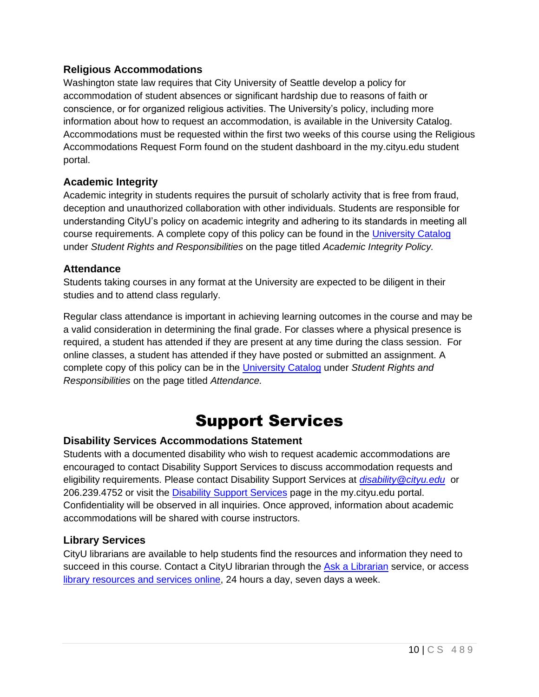## **Religious Accommodations**

Washington state law requires that City University of Seattle develop a policy for accommodation of student absences or significant hardship due to reasons of faith or conscience, or for organized religious activities. The University's policy, including more information about how to request an accommodation, is available in the University Catalog. Accommodations must be requested within the first two weeks of this course using the Religious Accommodations Request Form found on the student dashboard in the my.cityu.edu student portal.

## **Academic Integrity**

Academic integrity in students requires the pursuit of scholarly activity that is free from fraud, deception and unauthorized collaboration with other individuals. Students are responsible for understanding CityU's policy on academic integrity and adhering to its standards in meeting all course requirements. A complete copy of this policy can be found in the [University Catalog](http://www.cityu.edu/catalog/) under *Student Rights and Responsibilities* on the page titled *Academic Integrity Policy.* 

### **Attendance**

Students taking courses in any format at the University are expected to be diligent in their studies and to attend class regularly.

Regular class attendance is important in achieving learning outcomes in the course and may be a valid consideration in determining the final grade. For classes where a physical presence is required, a student has attended if they are present at any time during the class session. For online classes, a student has attended if they have posted or submitted an assignment. A complete copy of this policy can be in the [University Catalog](http://www.cityu.edu/catalog/) under *Student Rights and Responsibilities* on the page titled *Attendance.*

## Support Services

### **Disability Services Accommodations Statement**

Students with a documented disability who wish to request academic accommodations are encouraged to contact Disability Support Services to discuss accommodation requests and eligibility requirements. Please contact Disability Support Services at *[disability@cityu.edu](mailto:disability@cityu.edu)* or 206.239.4752 or visit the [Disability Support Services](https://my.cityu.edu/department/disability-support-services/) page in the my.cityu.edu portal. Confidentiality will be observed in all inquiries. Once approved, information about academic accommodations will be shared with course instructors.

### **Library Services**

CityU librarians are available to help students find the resources and information they need to succeed in this course. Contact a CityU librarian through the [Ask a Librarian](http://library.cityu.edu/ask-a-librarian/) service, or access [library resources and services online,](http://library.cityu.edu/) 24 hours a day, seven days a week.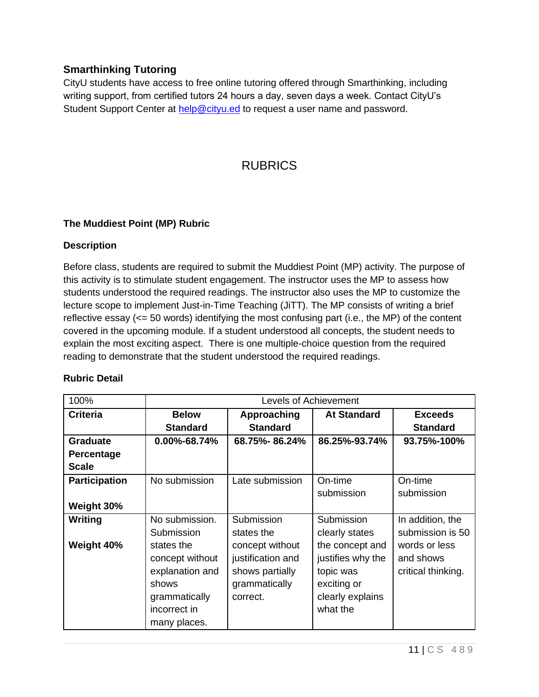## **Smarthinking Tutoring**

CityU students have access to free online tutoring offered through Smarthinking, including writing support, from certified tutors 24 hours a day, seven days a week. Contact CityU's Student Support Center at [help@cityu.ed](mailto:help@cityu.ed) to request a user name and password.

## RUBRICS

#### **The Muddiest Point (MP) Rubric**

#### **Description**

Before class, students are required to submit the Muddiest Point (MP) activity. The purpose of this activity is to stimulate student engagement. The instructor uses the MP to assess how students understood the required readings. The instructor also uses the MP to customize the lecture scope to implement Just-in-Time Teaching (JiTT). The MP consists of writing a brief reflective essay (<= 50 words) identifying the most confusing part (i.e., the MP) of the content covered in the upcoming module. If a student understood all concepts, the student needs to explain the most exciting aspect. There is one multiple-choice question from the required reading to demonstrate that the student understood the required readings.

| 100%                 | Levels of Achievement |                   |                    |                    |
|----------------------|-----------------------|-------------------|--------------------|--------------------|
| <b>Criteria</b>      | <b>Below</b>          | Approaching       | <b>At Standard</b> | <b>Exceeds</b>     |
|                      | <b>Standard</b>       | <b>Standard</b>   |                    | <b>Standard</b>    |
| <b>Graduate</b>      | $0.00\% - 68.74\%$    | 68.75%-86.24%     | 86.25%-93.74%      | 93.75%-100%        |
| Percentage           |                       |                   |                    |                    |
| <b>Scale</b>         |                       |                   |                    |                    |
| <b>Participation</b> | No submission         | Late submission   | On-time            | On-time            |
|                      |                       |                   | submission         | submission         |
| Weight 30%           |                       |                   |                    |                    |
| Writing              | No submission.        | Submission        | Submission         | In addition, the   |
|                      | Submission            | states the        | clearly states     | submission is 50   |
| Weight 40%           | states the            | concept without   | the concept and    | words or less      |
|                      | concept without       | justification and | justifies why the  | and shows          |
|                      | explanation and       | shows partially   | topic was          | critical thinking. |
|                      | shows                 | grammatically     | exciting or        |                    |
|                      | grammatically         | correct.          | clearly explains   |                    |
|                      | incorrect in          |                   | what the           |                    |
|                      | many places.          |                   |                    |                    |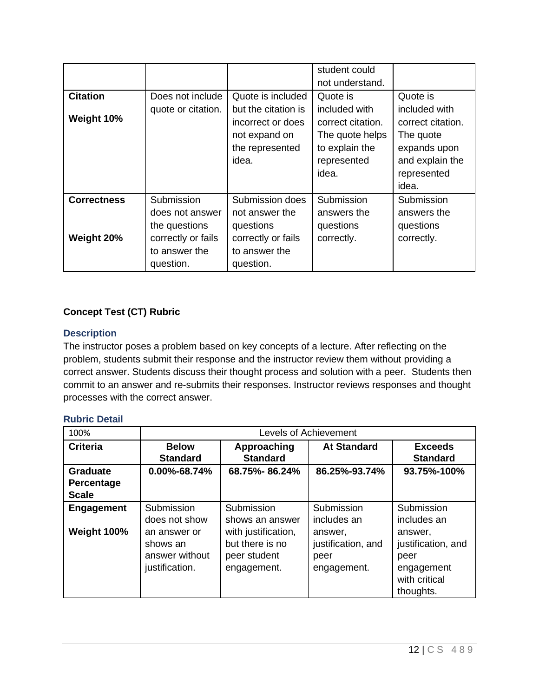|                    |                    |                     | student could     |                   |
|--------------------|--------------------|---------------------|-------------------|-------------------|
|                    |                    |                     | not understand.   |                   |
| <b>Citation</b>    | Does not include   | Quote is included   | Quote is          | Quote is          |
|                    | quote or citation. | but the citation is | included with     | included with     |
| Weight 10%         |                    | incorrect or does   | correct citation. | correct citation. |
|                    |                    | not expand on       | The quote helps   | The quote         |
|                    |                    | the represented     | to explain the    | expands upon      |
|                    |                    | idea.               | represented       | and explain the   |
|                    |                    |                     | idea.             | represented       |
|                    |                    |                     |                   | idea.             |
| <b>Correctness</b> | Submission         | Submission does     | Submission        | Submission        |
|                    | does not answer    | not answer the      | answers the       | answers the       |
|                    | the questions      | questions           | questions         | questions         |
| Weight 20%         | correctly or fails | correctly or fails  | correctly.        | correctly.        |
|                    | to answer the      | to answer the       |                   |                   |
|                    | question.          | question.           |                   |                   |

## **Concept Test (CT) Rubric**

### **Description**

The instructor poses a problem based on key concepts of a lecture. After reflecting on the problem, students submit their response and the instructor review them without providing a correct answer. Students discuss their thought process and solution with a peer. Students then commit to an answer and re-submits their responses. Instructor reviews responses and thought processes with the correct answer.

| 100%            | Levels of Achievement |                     |                    |                    |
|-----------------|-----------------------|---------------------|--------------------|--------------------|
| <b>Criteria</b> | <b>Below</b>          | Approaching         | <b>At Standard</b> | <b>Exceeds</b>     |
|                 | <b>Standard</b>       | <b>Standard</b>     |                    | <b>Standard</b>    |
| <b>Graduate</b> | 0.00%-68.74%          | 68.75%-86.24%       | 86.25%-93.74%      | 93.75%-100%        |
| Percentage      |                       |                     |                    |                    |
| <b>Scale</b>    |                       |                     |                    |                    |
| Engagement      | Submission            | Submission          | Submission         | Submission         |
|                 | does not show         | shows an answer     | includes an        | includes an        |
| Weight 100%     | an answer or          | with justification, | answer,            | answer,            |
|                 | shows an              | but there is no     | justification, and | justification, and |
|                 | answer without        | peer student        | peer               | peer               |
|                 | justification.        | engagement.         | engagement.        | engagement         |
|                 |                       |                     |                    | with critical      |
|                 |                       |                     |                    | thoughts.          |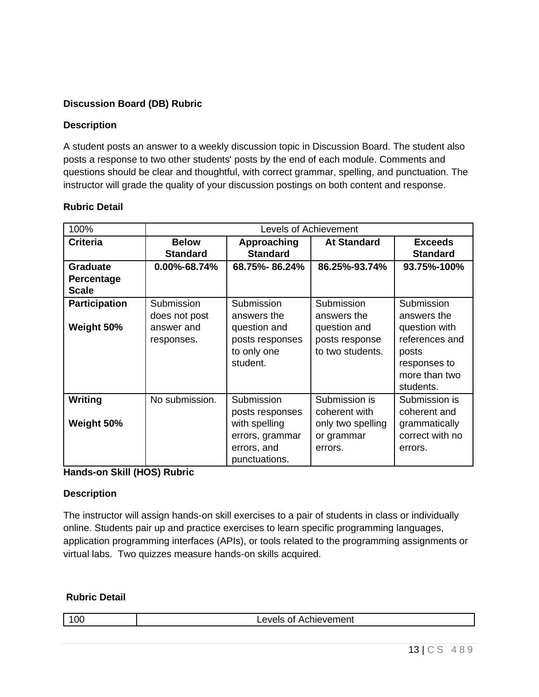## **Discussion Board (DB) Rubric**

### **Description**

A student posts an answer to a weekly discussion topic in Discussion Board. The student also posts a response to two other students' posts by the end of each module. Comments and questions should be clear and thoughtful, with correct grammar, spelling, and punctuation. The instructor will grade the quality of your discussion postings on both content and response.

| 100%                 |                    |                 | Levels of Achievement |                 |
|----------------------|--------------------|-----------------|-----------------------|-----------------|
| <b>Criteria</b>      | <b>Below</b>       | Approaching     | <b>At Standard</b>    | <b>Exceeds</b>  |
|                      | <b>Standard</b>    | <b>Standard</b> |                       | <b>Standard</b> |
| <b>Graduate</b>      | $0.00\% - 68.74\%$ | 68.75%-86.24%   | 86.25%-93.74%         | 93.75%-100%     |
| Percentage           |                    |                 |                       |                 |
| <b>Scale</b>         |                    |                 |                       |                 |
| <b>Participation</b> | Submission         | Submission      | Submission            | Submission      |
|                      | does not post      | answers the     | answers the           | answers the     |
| Weight 50%           | answer and         | question and    | question and          | question with   |
|                      | responses.         | posts responses | posts response        | references and  |
|                      |                    | to only one     | to two students.      | posts           |
|                      |                    | student.        |                       | responses to    |
|                      |                    |                 |                       | more than two   |
|                      |                    |                 |                       | students.       |
| Writing              | No submission.     | Submission      | Submission is         | Submission is   |
|                      |                    | posts responses | coherent with         | coherent and    |
| Weight 50%           |                    | with spelling   | only two spelling     | grammatically   |
|                      |                    | errors, grammar | or grammar            | correct with no |
|                      |                    | errors, and     | errors.               | errors.         |
|                      |                    | punctuations.   |                       |                 |

### **Rubric Detail**

**Hands-on Skill (HOS) Rubric**

### **Description**

The instructor will assign hands-on skill exercises to a pair of students in class or individually online. Students pair up and practice exercises to learn specific programming languages, application programming interfaces (APIs), or tools related to the programming assignments or virtual labs. Two quizzes measure hands-on skills acquired.

| JГ<br><b>Achievement</b><br>−⊻∪⊟ວັ |
|------------------------------------|
|------------------------------------|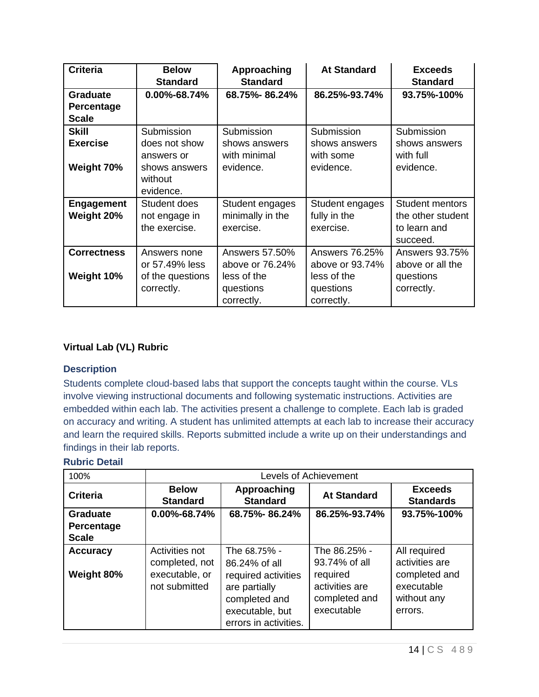| <b>Criteria</b>    | <b>Below</b><br><b>Standard</b> | Approaching<br><b>Standard</b> | <b>At Standard</b> | <b>Exceeds</b><br><b>Standard</b> |
|--------------------|---------------------------------|--------------------------------|--------------------|-----------------------------------|
| <b>Graduate</b>    | 0.00%-68.74%                    | 68.75%-86.24%                  | 86.25%-93.74%      | 93.75%-100%                       |
| Percentage         |                                 |                                |                    |                                   |
| <b>Scale</b>       |                                 |                                |                    |                                   |
| <b>Skill</b>       | Submission                      | Submission                     | Submission         | Submission                        |
| <b>Exercise</b>    | does not show                   | shows answers                  | shows answers      | shows answers                     |
|                    | answers or                      | with minimal                   | with some          | with full                         |
| Weight 70%         | shows answers                   | evidence.                      | evidence.          | evidence.                         |
|                    | without                         |                                |                    |                                   |
|                    | evidence.                       |                                |                    |                                   |
| <b>Engagement</b>  | Student does                    | Student engages                | Student engages    | <b>Student mentors</b>            |
| Weight 20%         | not engage in                   | minimally in the               | fully in the       | the other student                 |
|                    | the exercise.                   | exercise.                      | exercise.          | to learn and                      |
|                    |                                 |                                |                    | succeed.                          |
| <b>Correctness</b> | Answers none                    | Answers 57,50%                 | Answers 76.25%     | Answers 93.75%                    |
|                    | or 57.49% less                  | above or 76.24%                | above or 93.74%    | above or all the                  |
| Weight 10%         | of the questions                | less of the                    | less of the        | questions                         |
|                    | correctly.                      | questions                      | questions          | correctly.                        |
|                    |                                 | correctly.                     | correctly.         |                                   |

#### **Virtual Lab (VL) Rubric**

#### **Description**

Students complete cloud-based labs that support the concepts taught within the course. VLs involve viewing instructional documents and following systematic instructions. Activities are embedded within each lab. The activities present a challenge to complete. Each lab is graded on accuracy and writing. A student has unlimited attempts at each lab to increase their accuracy and learn the required skills. Reports submitted include a write up on their understandings and findings in their lab reports.

| 100%                                          |                                                                     |                                                                                                                                    | <b>Levels of Achievement</b>                                                               |                                                                                         |
|-----------------------------------------------|---------------------------------------------------------------------|------------------------------------------------------------------------------------------------------------------------------------|--------------------------------------------------------------------------------------------|-----------------------------------------------------------------------------------------|
| <b>Criteria</b>                               | <b>Below</b><br><b>Standard</b>                                     | Approaching<br><b>Standard</b>                                                                                                     | <b>At Standard</b>                                                                         | <b>Exceeds</b><br><b>Standards</b>                                                      |
| <b>Graduate</b><br>Percentage<br><b>Scale</b> | 0.00%-68.74%                                                        | 68.75%-86.24%                                                                                                                      | 86.25%-93.74%                                                                              | 93.75%-100%                                                                             |
| <b>Accuracy</b><br>Weight 80%                 | Activities not<br>completed, not<br>executable, or<br>not submitted | The 68.75% -<br>86.24% of all<br>required activities<br>are partially<br>completed and<br>executable, but<br>errors in activities. | The 86.25% -<br>93.74% of all<br>required<br>activities are<br>completed and<br>executable | All required<br>activities are<br>completed and<br>executable<br>without any<br>errors. |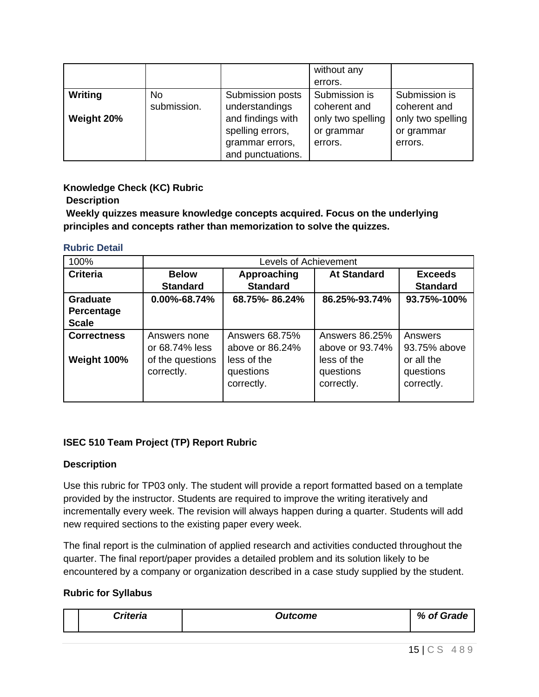|                              |                    |                                                                                                                     | without any<br>errors.                                                      |                                                                             |
|------------------------------|--------------------|---------------------------------------------------------------------------------------------------------------------|-----------------------------------------------------------------------------|-----------------------------------------------------------------------------|
| <b>Writing</b><br>Weight 20% | No.<br>submission. | Submission posts<br>understandings<br>and findings with<br>spelling errors,<br>grammar errors,<br>and punctuations. | Submission is<br>coherent and<br>only two spelling<br>or grammar<br>errors. | Submission is<br>coherent and<br>only two spelling<br>or grammar<br>errors. |

### **Knowledge Check (KC) Rubric**

**Description**

**Weekly quizzes measure knowledge concepts acquired. Focus on the underlying principles and concepts rather than memorization to solve the quizzes.** 

#### **Rubric Detail**

| 100%                                          |                                                                  | Levels of Achievement                                                       |                                                                             |                                                                  |
|-----------------------------------------------|------------------------------------------------------------------|-----------------------------------------------------------------------------|-----------------------------------------------------------------------------|------------------------------------------------------------------|
| <b>Criteria</b>                               | <b>Below</b><br><b>Standard</b>                                  | Approaching<br><b>Standard</b>                                              | <b>At Standard</b>                                                          | <b>Exceeds</b><br><b>Standard</b>                                |
| <b>Graduate</b><br>Percentage<br><b>Scale</b> | 0.00%-68.74%                                                     | 68.75%-86.24%                                                               | 86.25%-93.74%                                                               | 93.75%-100%                                                      |
| <b>Correctness</b><br>Weight 100%             | Answers none<br>or 68.74% less<br>of the questions<br>correctly. | Answers 68.75%<br>above or 86.24%<br>less of the<br>questions<br>correctly. | Answers 86.25%<br>above or 93.74%<br>less of the<br>questions<br>correctly. | Answers<br>93.75% above<br>or all the<br>questions<br>correctly. |

## **ISEC 510 Team Project (TP) Report Rubric**

### **Description**

Use this rubric for TP03 only. The student will provide a report formatted based on a template provided by the instructor. Students are required to improve the writing iteratively and incrementally every week. The revision will always happen during a quarter. Students will add new required sections to the existing paper every week.

The final report is the culmination of applied research and activities conducted throughout the quarter. The final report/paper provides a detailed problem and its solution likely to be encountered by a company or organization described in a case study supplied by the student.

### **Rubric for Syllabus**

|  | <br><sup>"e</sup> lla | <b>Putcome</b> | $\mathcal{O}_{\mathcal{L}}$<br>$\sim$ |
|--|-----------------------|----------------|---------------------------------------|
|--|-----------------------|----------------|---------------------------------------|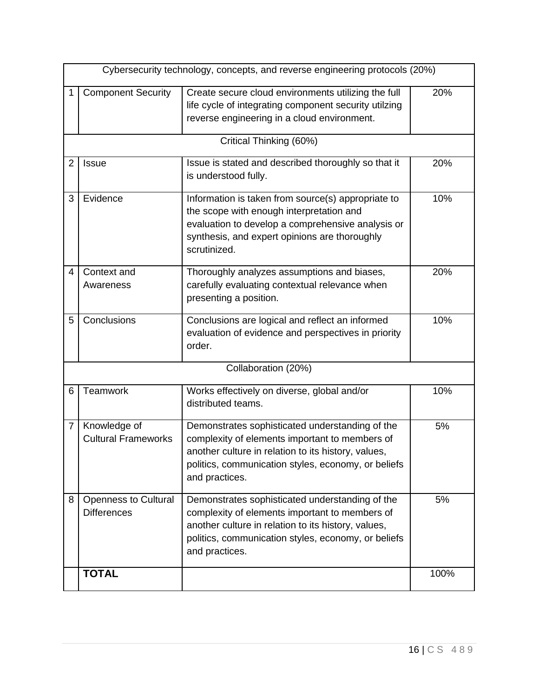|   |                                                   | Cybersecurity technology, concepts, and reverse engineering protocols (20%)                                                                                                                                                       |      |  |  |  |  |
|---|---------------------------------------------------|-----------------------------------------------------------------------------------------------------------------------------------------------------------------------------------------------------------------------------------|------|--|--|--|--|
|   | <b>Component Security</b>                         | Create secure cloud environments utilizing the full<br>life cycle of integrating component security utilzing<br>reverse engineering in a cloud environment.                                                                       | 20%  |  |  |  |  |
|   |                                                   | Critical Thinking (60%)                                                                                                                                                                                                           |      |  |  |  |  |
| 2 | Issue                                             | Issue is stated and described thoroughly so that it<br>is understood fully.                                                                                                                                                       | 20%  |  |  |  |  |
| 3 | Evidence                                          | Information is taken from source(s) appropriate to<br>the scope with enough interpretation and<br>evaluation to develop a comprehensive analysis or<br>synthesis, and expert opinions are thoroughly<br>scrutinized.              | 10%  |  |  |  |  |
| 4 | Context and<br>Awareness                          | Thoroughly analyzes assumptions and biases,<br>carefully evaluating contextual relevance when<br>presenting a position.                                                                                                           | 20%  |  |  |  |  |
| 5 | Conclusions                                       | Conclusions are logical and reflect an informed<br>evaluation of evidence and perspectives in priority<br>order.                                                                                                                  | 10%  |  |  |  |  |
|   |                                                   | Collaboration (20%)                                                                                                                                                                                                               |      |  |  |  |  |
| 6 | Teamwork                                          | Works effectively on diverse, global and/or<br>distributed teams.                                                                                                                                                                 | 10%  |  |  |  |  |
| 7 | Knowledge of<br><b>Cultural Frameworks</b>        | Demonstrates sophisticated understanding of the<br>complexity of elements important to members of<br>another culture in relation to its history, values,<br>politics, communication styles, economy, or beliefs<br>and practices. | 5%   |  |  |  |  |
| 8 | <b>Openness to Cultural</b><br><b>Differences</b> | Demonstrates sophisticated understanding of the<br>complexity of elements important to members of<br>another culture in relation to its history, values,<br>politics, communication styles, economy, or beliefs<br>and practices. | 5%   |  |  |  |  |
|   | <b>TOTAL</b>                                      |                                                                                                                                                                                                                                   | 100% |  |  |  |  |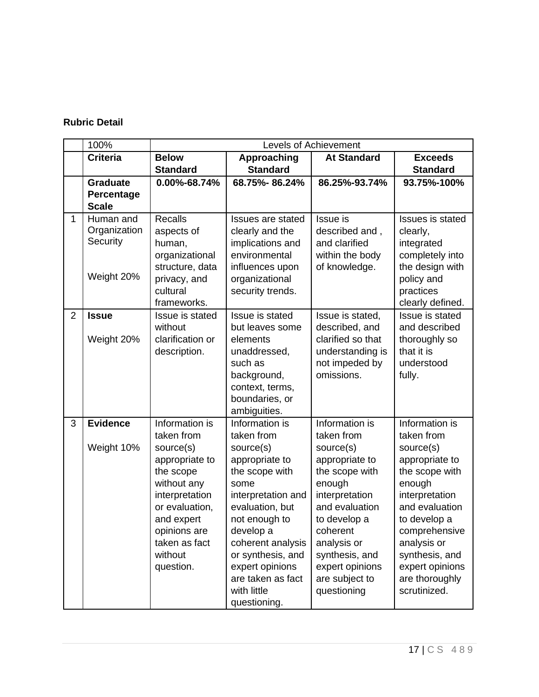|                | 100%            |                               |                                   | <b>Levels of Achievement</b> |                          |
|----------------|-----------------|-------------------------------|-----------------------------------|------------------------------|--------------------------|
|                | <b>Criteria</b> | <b>Below</b>                  | Approaching                       | <b>At Standard</b>           | <b>Exceeds</b>           |
|                |                 | <b>Standard</b>               | <b>Standard</b>                   |                              | <b>Standard</b>          |
|                | <b>Graduate</b> | 0.00%-68.74%                  | 68.75%-86.24%                     | 86.25%-93.74%                | 93.75%-100%              |
|                | Percentage      |                               |                                   |                              |                          |
|                | <b>Scale</b>    |                               |                                   |                              |                          |
| $\mathbf{1}$   | Human and       | <b>Recalls</b>                | <b>Issues are stated</b>          | Issue is                     | Issues is stated         |
|                | Organization    | aspects of                    | clearly and the                   | described and,               | clearly,                 |
|                | Security        | human,                        | implications and                  | and clarified                | integrated               |
|                |                 | organizational                | environmental                     | within the body              | completely into          |
|                | Weight 20%      | structure, data               | influences upon<br>organizational | of knowledge.                | the design with          |
|                |                 | privacy, and<br>cultural      | security trends.                  |                              | policy and<br>practices  |
|                |                 | frameworks.                   |                                   |                              | clearly defined.         |
| $\overline{2}$ | <b>Issue</b>    | Issue is stated               | Issue is stated                   | Issue is stated,             | Issue is stated          |
|                |                 | without                       | but leaves some                   | described, and               | and described            |
|                | Weight 20%      | clarification or              | elements                          | clarified so that            | thoroughly so            |
|                |                 | description.                  | unaddressed,                      | understanding is             | that it is               |
|                |                 |                               | such as                           | not impeded by               | understood               |
|                |                 |                               | background,                       | omissions.                   | fully.                   |
|                |                 |                               | context, terms,                   |                              |                          |
|                |                 |                               | boundaries, or                    |                              |                          |
|                |                 |                               | ambiguities.                      |                              |                          |
| 3              | <b>Evidence</b> | Information is                | Information is                    | Information is               | Information is           |
|                |                 | taken from                    | taken from                        | taken from                   | taken from               |
|                | Weight 10%      | source(s)                     | source(s)                         | source(s)                    | source(s)                |
|                |                 | appropriate to                | appropriate to                    | appropriate to               | appropriate to           |
|                |                 | the scope                     | the scope with<br>some            | the scope with               | the scope with           |
|                |                 | without any<br>interpretation | interpretation and                | enough<br>interpretation     | enough<br>interpretation |
|                |                 | or evaluation,                | evaluation, but                   | and evaluation               | and evaluation           |
|                |                 | and expert                    | not enough to                     | to develop a                 | to develop a             |
|                |                 | opinions are                  | develop a                         | coherent                     | comprehensive            |
|                |                 | taken as fact                 | coherent analysis                 | analysis or                  | analysis or              |
|                |                 | without                       | or synthesis, and                 | synthesis, and               | synthesis, and           |
|                |                 | question.                     | expert opinions                   | expert opinions              | expert opinions          |
|                |                 |                               | are taken as fact                 | are subject to               | are thoroughly           |
|                |                 |                               | with little                       | questioning                  | scrutinized.             |
|                |                 |                               | questioning.                      |                              |                          |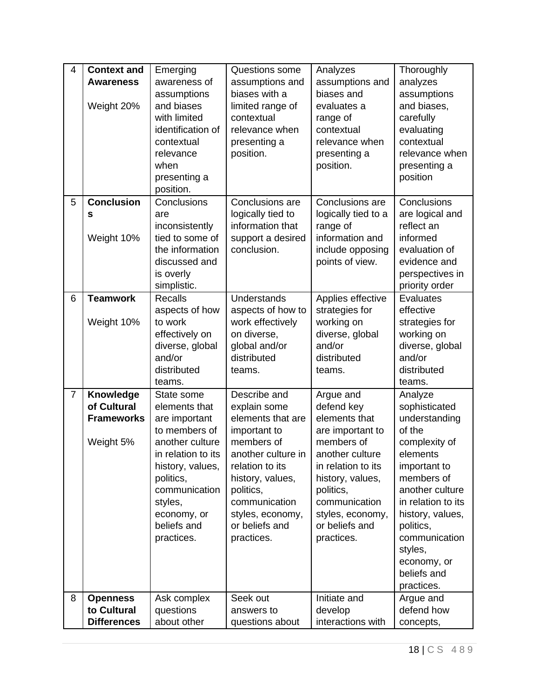| 4              | <b>Context and</b> | Emerging           | Questions some     | Analyzes            | Thoroughly         |
|----------------|--------------------|--------------------|--------------------|---------------------|--------------------|
|                | <b>Awareness</b>   | awareness of       | assumptions and    | assumptions and     | analyzes           |
|                |                    | assumptions        | biases with a      | biases and          | assumptions        |
|                | Weight 20%         | and biases         | limited range of   | evaluates a         | and biases,        |
|                |                    | with limited       | contextual         | range of            | carefully          |
|                |                    | identification of  | relevance when     | contextual          | evaluating         |
|                |                    | contextual         | presenting a       | relevance when      | contextual         |
|                |                    | relevance          | position.          | presenting a        | relevance when     |
|                |                    | when               |                    | position.           | presenting a       |
|                |                    | presenting a       |                    |                     | position           |
|                |                    | position.          |                    |                     |                    |
| 5              | <b>Conclusion</b>  | Conclusions        | Conclusions are    | Conclusions are     | Conclusions        |
|                | s                  | are                | logically tied to  | logically tied to a | are logical and    |
|                |                    | inconsistently     | information that   | range of            | reflect an         |
|                | Weight 10%         | tied to some of    | support a desired  | information and     | informed           |
|                |                    | the information    | conclusion.        | include opposing    | evaluation of      |
|                |                    | discussed and      |                    | points of view.     | evidence and       |
|                |                    | is overly          |                    |                     | perspectives in    |
|                |                    | simplistic.        |                    |                     | priority order     |
| 6              | <b>Teamwork</b>    | <b>Recalls</b>     | <b>Understands</b> | Applies effective   | Evaluates          |
|                |                    | aspects of how     | aspects of how to  | strategies for      | effective          |
|                | Weight 10%         | to work            | work effectively   | working on          | strategies for     |
|                |                    | effectively on     | on diverse,        | diverse, global     | working on         |
|                |                    | diverse, global    | global and/or      | and/or              | diverse, global    |
|                |                    | and/or             | distributed        | distributed         | and/or             |
|                |                    | distributed        | teams.             | teams.              | distributed        |
|                |                    | teams.             |                    |                     | teams.             |
| $\overline{7}$ | Knowledge          | State some         | Describe and       | Argue and           | Analyze            |
|                | of Cultural        | elements that      | explain some       | defend key          | sophisticated      |
|                | <b>Frameworks</b>  | are important      | elements that are  | elements that       | understanding      |
|                |                    | to members of      | important to       | are important to    | of the             |
|                | Weight 5%          | another culture    | members of         | members of          | complexity of      |
|                |                    | in relation to its | another culture in | another culture     | elements           |
|                |                    | history, values,   | relation to its    | in relation to its  | important to       |
|                |                    | politics,          | history, values,   | history, values,    | members of         |
|                |                    | communication      | politics,          | politics,           | another culture    |
|                |                    | styles,            | communication      | communication       | in relation to its |
|                |                    | economy, or        | styles, economy,   | styles, economy,    | history, values,   |
|                |                    | beliefs and        | or beliefs and     | or beliefs and      | politics,          |
|                |                    | practices.         | practices.         | practices.          | communication      |
|                |                    |                    |                    |                     | styles,            |
|                |                    |                    |                    |                     | economy, or        |
|                |                    |                    |                    |                     | beliefs and        |
|                |                    |                    |                    |                     | practices.         |
| 8              | <b>Openness</b>    | Ask complex        | Seek out           | Initiate and        | Argue and          |
|                | to Cultural        | questions          | answers to         | develop             | defend how         |
|                | <b>Differences</b> | about other        | questions about    | interactions with   | concepts,          |